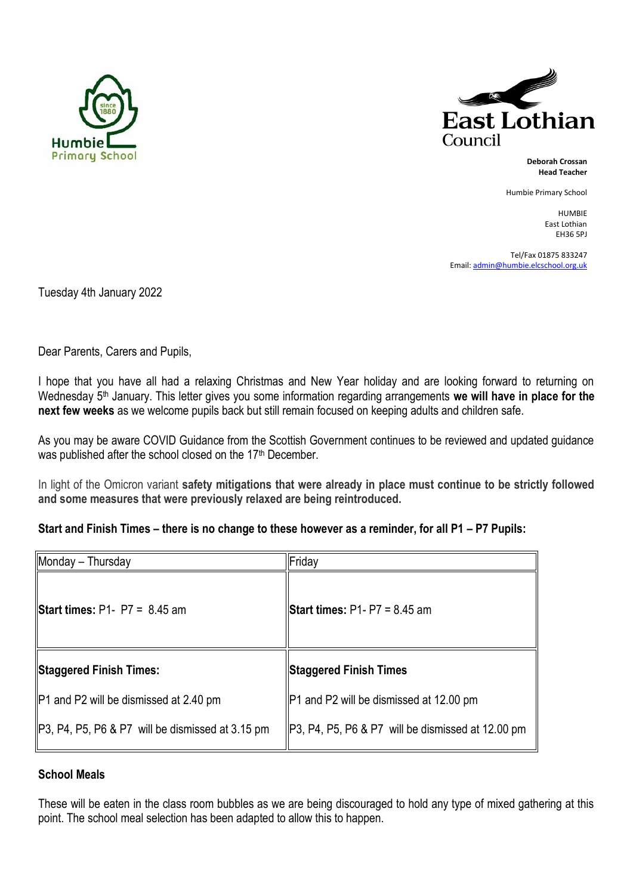



**Deborah Crossan Head Teacher**

Humbie Primary School

HUMBIE East Lothian EH36 5PJ

Tel/Fax 01875 833247 Email[: admin@humbie.elcschool.org.uk](mailto:admin@humbie.elcschool.org.uk)

Tuesday 4th January 2022

Dear Parents, Carers and Pupils,

I hope that you have all had a relaxing Christmas and New Year holiday and are looking forward to returning on Wednesday 5<sup>th</sup> January. This letter gives you some information regarding arrangements we will have in place for the **next few weeks** as we welcome pupils back but still remain focused on keeping adults and children safe.

As you may be aware COVID Guidance from the Scottish Government continues to be reviewed and updated guidance was published after the school closed on the 17<sup>th</sup> December.

In light of the Omicron variant **safety mitigations that were already in place must continue to be strictly followed and some measures that were previously relaxed are being reintroduced.**

#### **Start and Finish Times – there is no change to these however as a reminder, for all P1 – P7 Pupils:**

| Monday - Thursday                                | Friday                                            |
|--------------------------------------------------|---------------------------------------------------|
| <b>Start times:</b> P1- P7 = $8.45$ am           | <b>Start times:</b> P1- P7 = 8.45 am              |
| Staggered Finish Times:                          | <b>Staggered Finish Times</b>                     |
| P1 and P2 will be dismissed at 2.40 pm           | P1 and P2 will be dismissed at 12.00 pm           |
| P3, P4, P5, P6 & P7 will be dismissed at 3.15 pm | P3, P4, P5, P6 & P7 will be dismissed at 12.00 pm |

## **School Meals**

These will be eaten in the class room bubbles as we are being discouraged to hold any type of mixed gathering at this point. The school meal selection has been adapted to allow this to happen.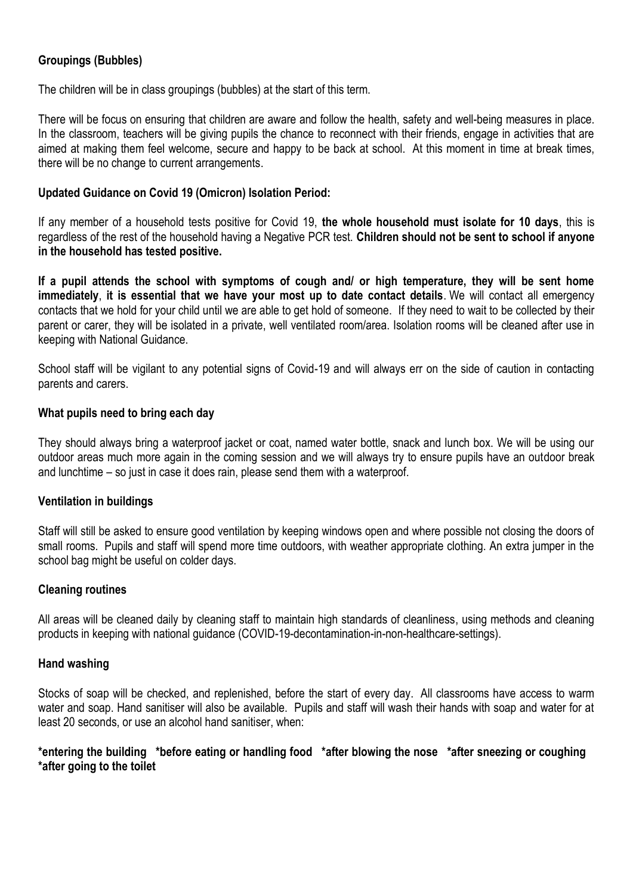# **Groupings (Bubbles)**

The children will be in class groupings (bubbles) at the start of this term.

There will be focus on ensuring that children are aware and follow the health, safety and well-being measures in place. In the classroom, teachers will be giving pupils the chance to reconnect with their friends, engage in activities that are aimed at making them feel welcome, secure and happy to be back at school. At this moment in time at break times, there will be no change to current arrangements.

## **Updated Guidance on Covid 19 (Omicron) Isolation Period:**

If any member of a household tests positive for Covid 19, **the whole household must isolate for 10 days**, this is regardless of the rest of the household having a Negative PCR test. **Children should not be sent to school if anyone in the household has tested positive.**

**If a pupil attends the school with symptoms of cough and/ or high temperature, they will be sent home immediately**, **it is essential that we have your most up to date contact details**. We will contact all emergency contacts that we hold for your child until we are able to get hold of someone. If they need to wait to be collected by their parent or carer, they will be isolated in a private, well ventilated room/area. Isolation rooms will be cleaned after use in keeping with National Guidance.

School staff will be vigilant to any potential signs of Covid-19 and will always err on the side of caution in contacting parents and carers.

## **What pupils need to bring each day**

They should always bring a waterproof jacket or coat, named water bottle, snack and lunch box. We will be using our outdoor areas much more again in the coming session and we will always try to ensure pupils have an outdoor break and lunchtime – so just in case it does rain, please send them with a waterproof.

#### **Ventilation in buildings**

Staff will still be asked to ensure good ventilation by keeping windows open and where possible not closing the doors of small rooms. Pupils and staff will spend more time outdoors, with weather appropriate clothing. An extra jumper in the school bag might be useful on colder days.

#### **Cleaning routines**

All areas will be cleaned daily by cleaning staff to maintain high standards of cleanliness, using methods and cleaning products in keeping with national guidance (COVID-19-decontamination-in-non-healthcare-settings).

#### **[Hand washing](https://www.nhs.uk/live-well/healthy-body/best-way-to-wash-your-hands/)**

Stocks of soap will be checked, and replenished, before the start of every day. All classrooms have access to warm water and soap. Hand sanitiser will also be available. Pupils and staff will wash their hands with soap and water for at least 20 seconds, or use an alcohol hand sanitiser, when:

## **\*entering the building \*before eating or handling food \*after blowing the nose \*after sneezing or coughing \*after going to the toilet**